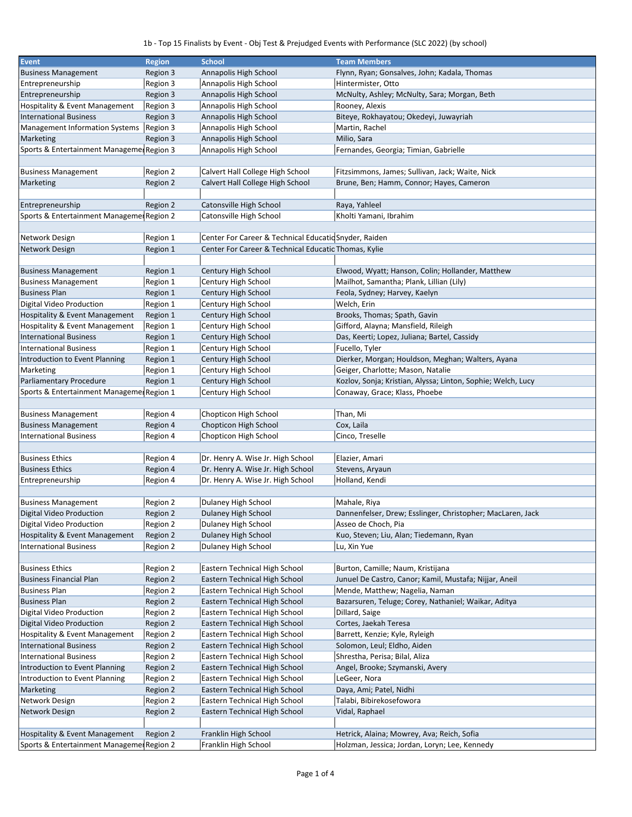## 1b - Top 15 Finalists by Event - Obj Test & Prejudged Events with Performance (SLC 2022) (by school)

| <b>Event</b>                              | <b>Region</b> | <b>School</b>                                         | <b>Team Members</b>                                          |
|-------------------------------------------|---------------|-------------------------------------------------------|--------------------------------------------------------------|
|                                           |               |                                                       |                                                              |
| <b>Business Management</b>                | Region 3      | Annapolis High School                                 | Flynn, Ryan; Gonsalves, John; Kadala, Thomas                 |
| Entrepreneurship                          | Region 3      | Annapolis High School                                 | Hintermister, Otto                                           |
| Entrepreneurship                          | Region 3      | Annapolis High School                                 | McNulty, Ashley; McNulty, Sara; Morgan, Beth                 |
| Hospitality & Event Management            | Region 3      | Annapolis High School                                 | Rooney, Alexis                                               |
| <b>International Business</b>             | Region 3      | Annapolis High School                                 | Biteye, Rokhayatou; Okedeyi, Juwayriah                       |
| <b>Management Information Systems</b>     | Region 3      | Annapolis High School                                 | Martin, Rachel                                               |
| Marketing                                 | Region 3      | Annapolis High School                                 | Milio, Sara                                                  |
| Sports & Entertainment Managemer Region 3 |               | Annapolis High School                                 | Fernandes, Georgia; Timian, Gabrielle                        |
|                                           |               |                                                       |                                                              |
|                                           |               |                                                       |                                                              |
| <b>Business Management</b>                | Region 2      | Calvert Hall College High School                      | Fitzsimmons, James; Sullivan, Jack; Waite, Nick              |
| Marketing                                 | Region 2      | Calvert Hall College High School                      | Brune, Ben; Hamm, Connor; Hayes, Cameron                     |
|                                           |               |                                                       |                                                              |
| Entrepreneurship                          | Region 2      | Catonsville High School                               | Raya, Yahleel                                                |
| Sports & Entertainment Managemer Region 2 |               | Catonsville High School                               | Kholti Yamani, Ibrahim                                       |
|                                           |               |                                                       |                                                              |
| Network Design                            | Region 1      | Center For Career & Technical Educatic Snyder, Raiden |                                                              |
| Network Design                            | Region 1      | Center For Career & Technical Educatic Thomas, Kylie  |                                                              |
|                                           |               |                                                       |                                                              |
| <b>Business Management</b>                | Region 1      | Century High School                                   | Elwood, Wyatt; Hanson, Colin; Hollander, Matthew             |
|                                           |               |                                                       |                                                              |
| <b>Business Management</b>                | Region 1      | Century High School                                   | Mailhot, Samantha; Plank, Lillian (Lily)                     |
| <b>Business Plan</b>                      | Region 1      | Century High School                                   | Feola, Sydney; Harvey, Kaelyn                                |
| Digital Video Production                  | Region 1      | Century High School                                   | Welch, Erin                                                  |
| Hospitality & Event Management            | Region 1      | Century High School                                   | Brooks, Thomas; Spath, Gavin                                 |
| Hospitality & Event Management            | Region 1      | Century High School                                   | Gifford, Alayna; Mansfield, Rileigh                          |
| <b>International Business</b>             | Region 1      | Century High School                                   | Das, Keerti; Lopez, Juliana; Bartel, Cassidy                 |
| <b>International Business</b>             | Region 1      | Century High School                                   | Fucello, Tyler                                               |
| Introduction to Event Planning            | Region 1      | Century High School                                   | Dierker, Morgan; Houldson, Meghan; Walters, Ayana            |
| Marketing                                 | Region 1      | Century High School                                   | Geiger, Charlotte; Mason, Natalie                            |
| Parliamentary Procedure                   | Region 1      | Century High School                                   | Kozlov, Sonja; Kristian, Alyssa; Linton, Sophie; Welch, Lucy |
|                                           |               |                                                       |                                                              |
| Sports & Entertainment Managemer Region 1 |               | Century High School                                   | Conaway, Grace; Klass, Phoebe                                |
|                                           |               |                                                       |                                                              |
| <b>Business Management</b>                | Region 4      | Chopticon High School                                 | Than, Mi                                                     |
| <b>Business Management</b>                | Region 4      | Chopticon High School                                 | Cox, Laila                                                   |
| <b>International Business</b>             | Region 4      | Chopticon High School                                 | Cinco, Treselle                                              |
|                                           |               |                                                       |                                                              |
| <b>Business Ethics</b>                    | Region 4      | Dr. Henry A. Wise Jr. High School                     | Elazier, Amari                                               |
| <b>Business Ethics</b>                    | Region 4      | Dr. Henry A. Wise Jr. High School                     | Stevens, Aryaun                                              |
| Entrepreneurship                          | Region 4      | Dr. Henry A. Wise Jr. High School                     | Holland, Kendi                                               |
|                                           |               |                                                       |                                                              |
| <b>Business Management</b>                | Region 2      | Dulaney High School                                   | Mahale, Riya                                                 |
| Digital Video Production                  | Region 2      | Dulaney High School                                   | Dannenfelser, Drew; Esslinger, Christopher; MacLaren, Jack   |
|                                           |               |                                                       |                                                              |
| Digital Video Production                  | Region 2      | Dulaney High School                                   | Asseo de Choch, Pia                                          |
| Hospitality & Event Management            | Region 2      | Dulaney High School                                   | Kuo, Steven; Liu, Alan; Tiedemann, Ryan                      |
| <b>International Business</b>             | Region 2      | Dulaney High School                                   | Lu, Xin Yue                                                  |
|                                           |               |                                                       |                                                              |
| <b>Business Ethics</b>                    | Region 2      | Eastern Technical High School                         | Burton, Camille; Naum, Kristijana                            |
| <b>Business Financial Plan</b>            | Region 2      | Eastern Technical High School                         | Junuel De Castro, Canor; Kamil, Mustafa; Nijjar, Aneil       |
| <b>Business Plan</b>                      | Region 2      | Eastern Technical High School                         | Mende, Matthew; Nagelia, Naman                               |
| <b>Business Plan</b>                      | Region 2      | Eastern Technical High School                         | Bazarsuren, Teluge; Corey, Nathaniel; Waikar, Aditya         |
| Digital Video Production                  | Region 2      | Eastern Technical High School                         | Dillard, Saige                                               |
| Digital Video Production                  | Region 2      | Eastern Technical High School                         | Cortes, Jaekah Teresa                                        |
|                                           |               |                                                       |                                                              |
| <b>Hospitality &amp; Event Management</b> | Region 2      | Eastern Technical High School                         | Barrett, Kenzie; Kyle, Ryleigh                               |
| <b>International Business</b>             | Region 2      | Eastern Technical High School                         | Solomon, Leul; Eldho, Aiden                                  |
| <b>International Business</b>             | Region 2      | Eastern Technical High School                         | Shrestha, Perisa; Bilal, Aliza                               |
| Introduction to Event Planning            | Region 2      | Eastern Technical High School                         | Angel, Brooke; Szymanski, Avery                              |
| Introduction to Event Planning            | Region 2      | Eastern Technical High School                         | LeGeer, Nora                                                 |
| Marketing                                 | Region 2      | Eastern Technical High School                         | Daya, Ami; Patel, Nidhi                                      |
| Network Design                            | Region 2      | Eastern Technical High School                         | Talabi, Bibirekosefowora                                     |
| Network Design                            | Region 2      | Eastern Technical High School                         | Vidal, Raphael                                               |
|                                           |               |                                                       |                                                              |
| Hospitality & Event Management            | Region 2      | Franklin High School                                  | Hetrick, Alaina; Mowrey, Ava; Reich, Sofia                   |
|                                           |               |                                                       |                                                              |
| Sports & Entertainment Managemer Region 2 |               | Franklin High School                                  | Holzman, Jessica; Jordan, Loryn; Lee, Kennedy                |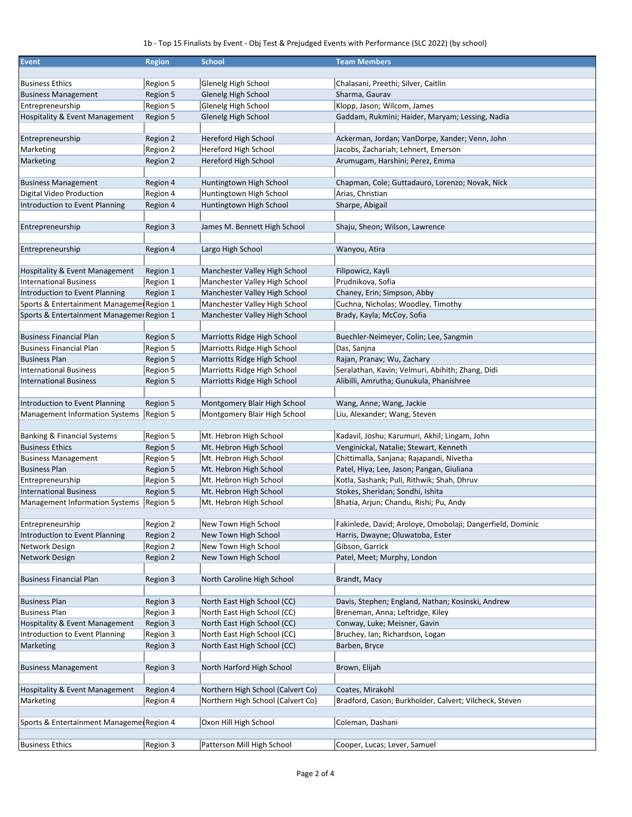## 1b - Top 15 Finalists by Event - Obj Test & Prejudged Events with Performance (SLC 2022) (by school)

| <b>Event</b>                                                    | <b>Region</b>        | <b>School</b>                                      | <b>Team Members</b>                                                        |
|-----------------------------------------------------------------|----------------------|----------------------------------------------------|----------------------------------------------------------------------------|
|                                                                 |                      |                                                    |                                                                            |
| <b>Business Ethics</b>                                          | Region 5             | Glenelg High School                                | Chalasani, Preethi; Silver, Caitlin                                        |
| <b>Business Management</b>                                      | Region 5             | Glenelg High School                                | Sharma, Gaurav                                                             |
| Entrepreneurship                                                | Region 5             | Glenelg High School                                | Klopp, Jason; Wilcom, James                                                |
| Hospitality & Event Management                                  | Region 5             | Glenelg High School                                | Gaddam, Rukmini; Haider, Maryam; Lessing, Nadia                            |
| Entrepreneurship                                                | Region 2             | Hereford High School                               | Ackerman, Jordan; VanDorpe, Xander; Venn, John                             |
| Marketing                                                       | Region 2             | Hereford High School                               | Jacobs, Zachariah; Lehnert, Emerson                                        |
| Marketing                                                       | Region 2             | Hereford High School                               | Arumugam, Harshini; Perez, Emma                                            |
|                                                                 |                      |                                                    |                                                                            |
| <b>Business Management</b><br>Digital Video Production          | Region 4             | Huntingtown High School<br>Huntingtown High School | Chapman, Cole; Guttadauro, Lorenzo; Novak, Nick<br>Arias, Christian        |
| Introduction to Event Planning                                  | Region 4             | Huntingtown High School                            | Sharpe, Abigail                                                            |
|                                                                 | Region 4             |                                                    |                                                                            |
| Entrepreneurship                                                | Region 3             | James M. Bennett High School                       | Shaju, Sheon; Wilson, Lawrence                                             |
| Entrepreneurship                                                | Region 4             | Largo High School                                  | Wanyou, Atira                                                              |
|                                                                 |                      |                                                    |                                                                            |
| Hospitality & Event Management                                  | Region 1             | Manchester Valley High School                      | Filipowicz, Kayli                                                          |
| <b>International Business</b>                                   | Region 1             | Manchester Valley High School                      | Prudnikova, Sofia                                                          |
| Introduction to Event Planning                                  | Region 1             | Manchester Valley High School                      | Chaney, Erin; Simpson, Abby                                                |
| Sports & Entertainment Managemer Region 1                       |                      | Manchester Valley High School                      | Cuchna, Nicholas; Woodley, Timothy                                         |
| Sports & Entertainment Managemer Region 1                       |                      | Manchester Valley High School                      | Brady, Kayla; McCoy, Sofia                                                 |
| <b>Business Financial Plan</b>                                  | Region 5             | Marriotts Ridge High School                        | Buechler-Neimeyer, Colin; Lee, Sangmin                                     |
| <b>Business Financial Plan</b>                                  | Region 5             | Marriotts Ridge High School                        |                                                                            |
| <b>Business Plan</b>                                            | Region 5             | Marriotts Ridge High School                        | Das, Sanjna<br>Rajan, Pranav; Wu, Zachary                                  |
| <b>International Business</b>                                   | Region 5             | Marriotts Ridge High School                        | Seralathan, Kavin; Velmuri, Abihith; Zhang, Didi                           |
| <b>International Business</b>                                   | Region 5             | Marriotts Ridge High School                        | Alibilli, Amrutha; Gunukula, Phanishree                                    |
|                                                                 |                      |                                                    |                                                                            |
| Introduction to Event Planning                                  | Region 5             | Montgomery Blair High School                       | Wang, Anne; Wang, Jackie                                                   |
| Management Information Systems                                  | Region 5             | Montgomery Blair High School                       | Liu, Alexander; Wang, Steven                                               |
|                                                                 |                      |                                                    |                                                                            |
| Banking & Financial Systems                                     | Region 5             | Mt. Hebron High School                             | Kadavil, Joshu; Karumuri, Akhil; Lingam, John                              |
| <b>Business Ethics</b>                                          | Region 5             | Mt. Hebron High School                             | Venginickal, Natalie; Stewart, Kenneth                                     |
| <b>Business Management</b>                                      | Region 5             | Mt. Hebron High School                             | Chittimalla, Sanjana; Rajapandi, Nivetha                                   |
| <b>Business Plan</b>                                            | Region 5             | Mt. Hebron High School                             | Patel, Hiya; Lee, Jason; Pangan, Giuliana                                  |
| Entrepreneurship                                                | Region 5             | Mt. Hebron High School                             | Kotla, Sashank; Puli, Rithwik; Shah, Dhruv                                 |
| <b>International Business</b><br>Management Information Systems | Region 5<br>Region 5 | Mt. Hebron High School<br>Mt. Hebron High School   | Stokes, Sheridan; Sondhi, Ishita<br>Bhatia, Arjun; Chandu, Rishi; Pu, Andy |
|                                                                 |                      |                                                    |                                                                            |
| Entrepreneurship                                                | Region 2             | New Town High School                               | Fakinlede, David; Aroloye, Omobolaji; Dangerfield, Dominic                 |
| Introduction to Event Planning                                  | Region 2             | New Town High School                               | Harris, Dwayne; Oluwatoba, Ester                                           |
| Network Design                                                  | Region 2             | New Town High School                               | Gibson, Garrick                                                            |
| Network Design                                                  | Region 2             | New Town High School                               | Patel, Meet; Murphy, London                                                |
| <b>Business Financial Plan</b>                                  | Region 3             | North Caroline High School                         | Brandt, Macy                                                               |
|                                                                 |                      |                                                    |                                                                            |
| <b>Business Plan</b>                                            | Region 3             | North East High School (CC)                        | Davis, Stephen; England, Nathan; Kosinski, Andrew                          |
| <b>Business Plan</b>                                            | Region 3             | North East High School (CC)                        | Breneman, Anna; Leftridge, Kiley                                           |
| Hospitality & Event Management                                  | Region 3             | North East High School (CC)                        | Conway, Luke; Meisner, Gavin                                               |
| Introduction to Event Planning                                  | Region 3             | North East High School (CC)                        | Bruchey, Ian; Richardson, Logan                                            |
| Marketing                                                       | Region 3             | North East High School (CC)                        | Barben, Bryce                                                              |
| <b>Business Management</b>                                      | Region 3             | North Harford High School                          | Brown, Elijah                                                              |
|                                                                 |                      |                                                    |                                                                            |
| <b>Hospitality &amp; Event Management</b>                       | Region 4             | Northern High School (Calvert Co)                  | Coates, Mirakohl<br>Bradford, Cason; Burkholder, Calvert; Vilcheck, Steven |
| Marketing                                                       | Region 4             | Northern High School (Calvert Co)                  |                                                                            |
| Sports & Entertainment Managemer Region 4                       |                      | Oxon Hill High School                              | Coleman, Dashani                                                           |
|                                                                 |                      |                                                    |                                                                            |
| <b>Business Ethics</b>                                          | Region 3             | Patterson Mill High School                         | Cooper, Lucas; Lever, Samuel                                               |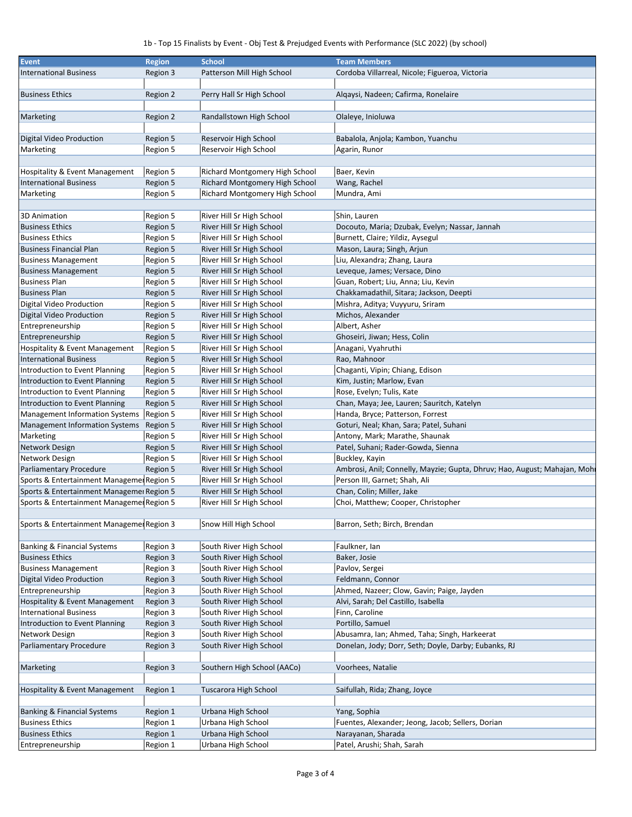## 1b - Top 15 Finalists by Event - Obj Test & Prejudged Events with Performance (SLC 2022) (by school)

| <b>Event</b>                              | <b>Region</b> | <b>School</b>                  | <b>Team Members</b>                                                      |
|-------------------------------------------|---------------|--------------------------------|--------------------------------------------------------------------------|
| <b>International Business</b>             | Region 3      | Patterson Mill High School     | Cordoba Villarreal, Nicole; Figueroa, Victoria                           |
|                                           |               |                                |                                                                          |
| <b>Business Ethics</b>                    | Region 2      | Perry Hall Sr High School      | Alqaysi, Nadeen; Cafirma, Ronelaire                                      |
|                                           |               |                                |                                                                          |
| Marketing                                 | Region 2      | Randallstown High School       | Olaleye, Inioluwa                                                        |
|                                           |               |                                |                                                                          |
| Digital Video Production                  | Region 5      | Reservoir High School          | Babalola, Anjola; Kambon, Yuanchu                                        |
| Marketing                                 | Region 5      | Reservoir High School          | Agarin, Runor                                                            |
|                                           |               |                                |                                                                          |
| Hospitality & Event Management            | Region 5      | Richard Montgomery High School | Baer, Kevin                                                              |
| <b>International Business</b>             | Region 5      | Richard Montgomery High School | Wang, Rachel                                                             |
| Marketing                                 | Region 5      | Richard Montgomery High School | Mundra, Ami                                                              |
|                                           |               |                                |                                                                          |
| <b>3D Animation</b>                       | Region 5      | River Hill Sr High School      | Shin, Lauren                                                             |
| <b>Business Ethics</b>                    | Region 5      | River Hill Sr High School      | Docouto, Maria; Dzubak, Evelyn; Nassar, Jannah                           |
| <b>Business Ethics</b>                    | Region 5      | River Hill Sr High School      | Burnett, Claire; Yildiz, Aysegul                                         |
| <b>Business Financial Plan</b>            | Region 5      | River Hill Sr High School      | Mason, Laura; Singh, Arjun                                               |
| <b>Business Management</b>                | Region 5      | River Hill Sr High School      | Liu, Alexandra; Zhang, Laura                                             |
| <b>Business Management</b>                | Region 5      | River Hill Sr High School      | Leveque, James; Versace, Dino                                            |
|                                           | Region 5      |                                | Guan, Robert; Liu, Anna; Liu, Kevin                                      |
| <b>Business Plan</b>                      | Region 5      | River Hill Sr High School      | Chakkamadathil, Sitara; Jackson, Deepti                                  |
| <b>Business Plan</b>                      |               | River Hill Sr High School      |                                                                          |
| Digital Video Production                  | Region 5      | River Hill Sr High School      | Mishra, Aditya; Vuyyuru, Sriram                                          |
| Digital Video Production                  | Region 5      | River Hill Sr High School      | Michos, Alexander                                                        |
| Entrepreneurship                          | Region 5      | River Hill Sr High School      | Albert, Asher                                                            |
| Entrepreneurship                          | Region 5      | River Hill Sr High School      | Ghoseiri, Jiwan; Hess, Colin                                             |
| Hospitality & Event Management            | Region 5      | River Hill Sr High School      | Anagani, Vyahruthi                                                       |
| <b>International Business</b>             | Region 5      | River Hill Sr High School      | Rao, Mahnoor                                                             |
| Introduction to Event Planning            | Region 5      | River Hill Sr High School      | Chaganti, Vipin; Chiang, Edison                                          |
| Introduction to Event Planning            | Region 5      | River Hill Sr High School      | Kim, Justin; Marlow, Evan                                                |
| Introduction to Event Planning            | Region 5      | River Hill Sr High School      | Rose, Evelyn; Tulis, Kate                                                |
| Introduction to Event Planning            | Region 5      | River Hill Sr High School      | Chan, Maya; Jee, Lauren; Sauritch, Katelyn                               |
| Management Information Systems            | Region 5      | River Hill Sr High School      | Handa, Bryce; Patterson, Forrest                                         |
| Management Information Systems            | Region 5      | River Hill Sr High School      | Goturi, Neal; Khan, Sara; Patel, Suhani                                  |
| Marketing                                 | Region 5      | River Hill Sr High School      | Antony, Mark; Marathe, Shaunak                                           |
| Network Design                            | Region 5      | River Hill Sr High School      | Patel, Suhani; Rader-Gowda, Sienna                                       |
| Network Design                            | Region 5      | River Hill Sr High School      | Buckley, Kayin                                                           |
| Parliamentary Procedure                   | Region 5      | River Hill Sr High School      | Ambrosi, Anil; Connelly, Mayzie; Gupta, Dhruv; Hao, August; Mahajan, Moh |
| Sports & Entertainment Managemer Region 5 |               | River Hill Sr High School      | Person III, Garnet; Shah, Ali                                            |
| Sports & Entertainment Managemer Region 5 |               | River Hill Sr High School      | Chan, Colin; Miller, Jake                                                |
| Sports & Entertainment Managemer Region 5 |               | River Hill Sr High School      | Choi, Matthew; Cooper, Christopher                                       |
|                                           |               |                                |                                                                          |
| Sports & Entertainment Managemer Region 3 |               | Snow Hill High School          | Barron, Seth; Birch, Brendan                                             |
|                                           |               |                                |                                                                          |
| Banking & Financial Systems               | Region 3      | South River High School        | Faulkner, Ian                                                            |
| <b>Business Ethics</b>                    | Region 3      | South River High School        | Baker, Josie                                                             |
| <b>Business Management</b>                | Region 3      | South River High School        | Pavlov, Sergei                                                           |
| Digital Video Production                  | Region 3      | South River High School        | Feldmann, Connor                                                         |
| Entrepreneurship                          | Region 3      | South River High School        | Ahmed, Nazeer; Clow, Gavin; Paige, Jayden                                |
| <b>Hospitality &amp; Event Management</b> | Region 3      | South River High School        | Alvi, Sarah; Del Castillo, Isabella                                      |
| <b>International Business</b>             | Region 3      | South River High School        | Finn, Caroline                                                           |
| Introduction to Event Planning            | Region 3      | South River High School        | Portillo, Samuel                                                         |
| Network Design                            | Region 3      | South River High School        | Abusamra, Ian; Ahmed, Taha; Singh, Harkeerat                             |
| Parliamentary Procedure                   | Region 3      | South River High School        | Donelan, Jody; Dorr, Seth; Doyle, Darby; Eubanks, RJ                     |
|                                           |               |                                |                                                                          |
| Marketing                                 | Region 3      | Southern High School (AACo)    | Voorhees, Natalie                                                        |
|                                           |               |                                |                                                                          |
| Hospitality & Event Management            | Region 1      | Tuscarora High School          | Saifullah, Rida; Zhang, Joyce                                            |
|                                           |               |                                |                                                                          |
| Banking & Financial Systems               | Region 1      | Urbana High School             | Yang, Sophia                                                             |
| <b>Business Ethics</b>                    | Region 1      | Urbana High School             | Fuentes, Alexander; Jeong, Jacob; Sellers, Dorian                        |
| <b>Business Ethics</b>                    | Region 1      | Urbana High School             | Narayanan, Sharada                                                       |
| Entrepreneurship                          | Region 1      | Urbana High School             | Patel, Arushi; Shah, Sarah                                               |